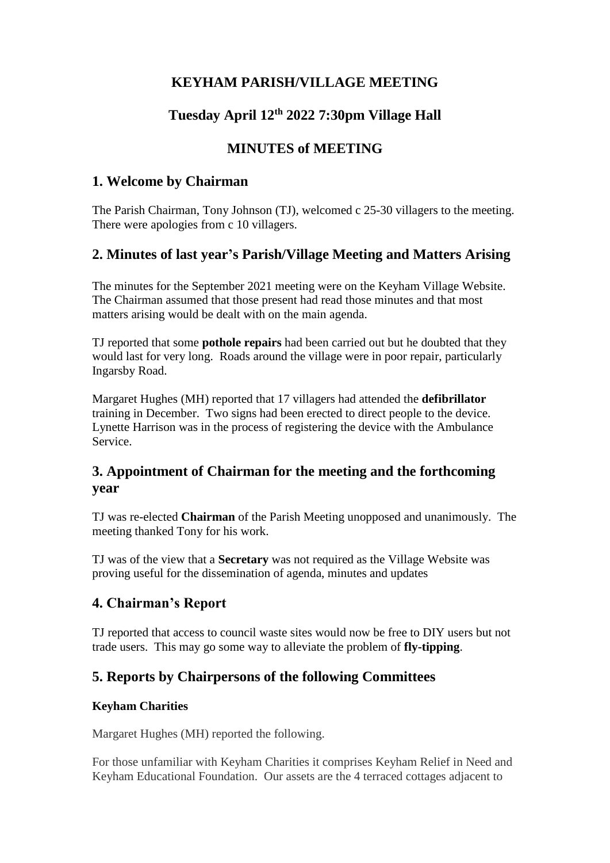# **KEYHAM PARISH/VILLAGE MEETING**

# **Tuesday April 12th 2022 7:30pm Village Hall**

## **MINUTES of MEETING**

### **1. Welcome by Chairman**

The Parish Chairman, Tony Johnson (TJ), welcomed c 25-30 villagers to the meeting. There were apologies from c 10 villagers.

### **2. Minutes of last year's Parish/Village Meeting and Matters Arising**

The minutes for the September 2021 meeting were on the Keyham Village Website. The Chairman assumed that those present had read those minutes and that most matters arising would be dealt with on the main agenda.

TJ reported that some **pothole repairs** had been carried out but he doubted that they would last for very long. Roads around the village were in poor repair, particularly Ingarsby Road.

Margaret Hughes (MH) reported that 17 villagers had attended the **defibrillator** training in December. Two signs had been erected to direct people to the device. Lynette Harrison was in the process of registering the device with the Ambulance Service.

## **3. Appointment of Chairman for the meeting and the forthcoming year**

TJ was re-elected **Chairman** of the Parish Meeting unopposed and unanimously. The meeting thanked Tony for his work.

TJ was of the view that a **Secretary** was not required as the Village Website was proving useful for the dissemination of agenda, minutes and updates

## **4. Chairman's Report**

TJ reported that access to council waste sites would now be free to DIY users but not trade users. This may go some way to alleviate the problem of **fly-tipping**.

# **5. Reports by Chairpersons of the following Committees**

#### **Keyham Charities**

Margaret Hughes (MH) reported the following.

For those unfamiliar with Keyham Charities it comprises Keyham Relief in Need and Keyham Educational Foundation. Our assets are the 4 terraced cottages adjacent to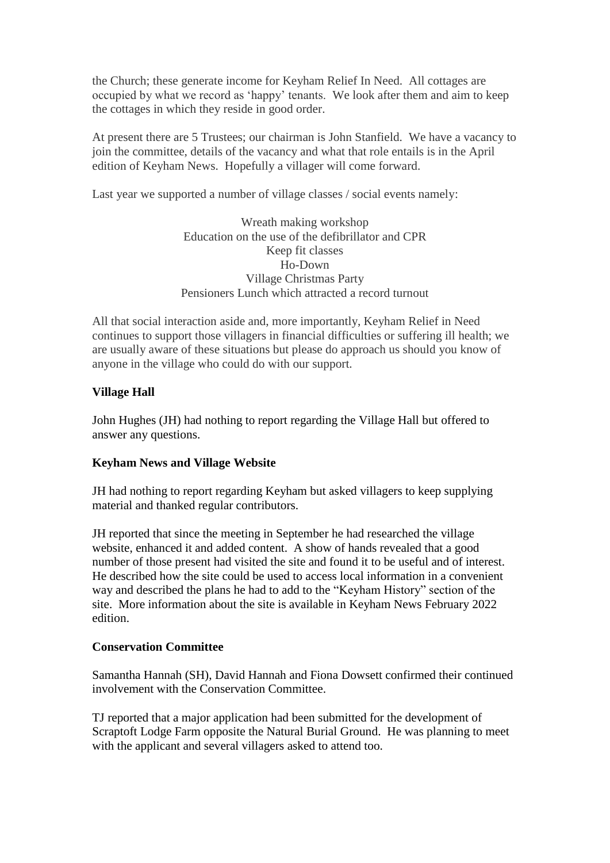the Church; these generate income for Keyham Relief In Need. All cottages are occupied by what we record as 'happy' tenants. We look after them and aim to keep the cottages in which they reside in good order.

At present there are 5 Trustees; our chairman is John Stanfield. We have a vacancy to join the committee, details of the vacancy and what that role entails is in the April edition of Keyham News. Hopefully a villager will come forward.

Last year we supported a number of village classes / social events namely:

Wreath making workshop Education on the use of the defibrillator and CPR Keep fit classes Ho-Down Village Christmas Party Pensioners Lunch which attracted a record turnout

All that social interaction aside and, more importantly, Keyham Relief in Need continues to support those villagers in financial difficulties or suffering ill health; we are usually aware of these situations but please do approach us should you know of anyone in the village who could do with our support.

#### **Village Hall**

John Hughes (JH) had nothing to report regarding the Village Hall but offered to answer any questions.

#### **Keyham News and Village Website**

JH had nothing to report regarding Keyham but asked villagers to keep supplying material and thanked regular contributors.

JH reported that since the meeting in September he had researched the village website, enhanced it and added content. A show of hands revealed that a good number of those present had visited the site and found it to be useful and of interest. He described how the site could be used to access local information in a convenient way and described the plans he had to add to the "Keyham History" section of the site. More information about the site is available in Keyham News February 2022 edition.

#### **Conservation Committee**

Samantha Hannah (SH), David Hannah and Fiona Dowsett confirmed their continued involvement with the Conservation Committee.

TJ reported that a major application had been submitted for the development of Scraptoft Lodge Farm opposite the Natural Burial Ground. He was planning to meet with the applicant and several villagers asked to attend too.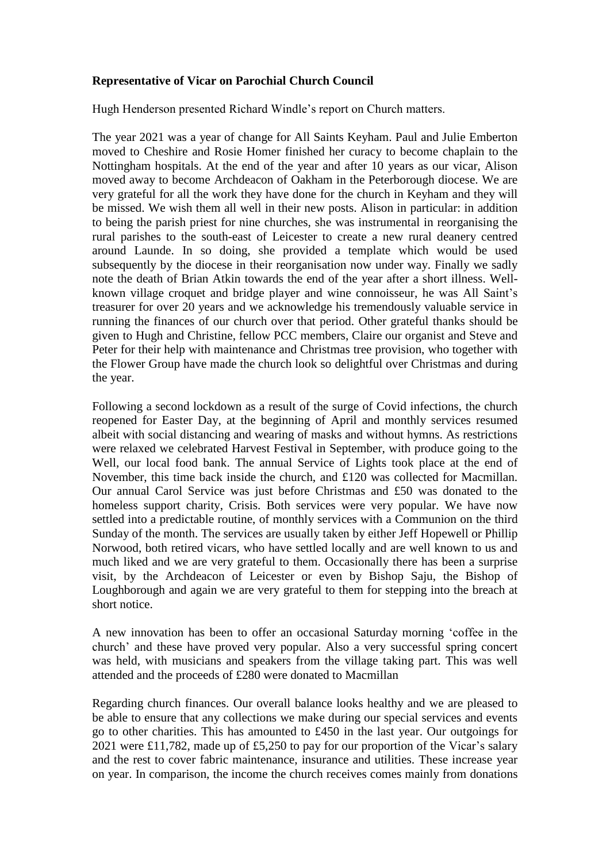#### **Representative of Vicar on Parochial Church Council**

Hugh Henderson presented Richard Windle's report on Church matters.

The year 2021 was a year of change for All Saints Keyham. Paul and Julie Emberton moved to Cheshire and Rosie Homer finished her curacy to become chaplain to the Nottingham hospitals. At the end of the year and after 10 years as our vicar, Alison moved away to become Archdeacon of Oakham in the Peterborough diocese. We are very grateful for all the work they have done for the church in Keyham and they will be missed. We wish them all well in their new posts. Alison in particular: in addition to being the parish priest for nine churches, she was instrumental in reorganising the rural parishes to the south-east of Leicester to create a new rural deanery centred around Launde. In so doing, she provided a template which would be used subsequently by the diocese in their reorganisation now under way. Finally we sadly note the death of Brian Atkin towards the end of the year after a short illness. Wellknown village croquet and bridge player and wine connoisseur, he was All Saint's treasurer for over 20 years and we acknowledge his tremendously valuable service in running the finances of our church over that period. Other grateful thanks should be given to Hugh and Christine, fellow PCC members, Claire our organist and Steve and Peter for their help with maintenance and Christmas tree provision, who together with the Flower Group have made the church look so delightful over Christmas and during the year.

Following a second lockdown as a result of the surge of Covid infections, the church reopened for Easter Day, at the beginning of April and monthly services resumed albeit with social distancing and wearing of masks and without hymns. As restrictions were relaxed we celebrated Harvest Festival in September, with produce going to the Well, our local food bank. The annual Service of Lights took place at the end of November, this time back inside the church, and £120 was collected for Macmillan. Our annual Carol Service was just before Christmas and £50 was donated to the homeless support charity, Crisis. Both services were very popular. We have now settled into a predictable routine, of monthly services with a Communion on the third Sunday of the month. The services are usually taken by either Jeff Hopewell or Phillip Norwood, both retired vicars, who have settled locally and are well known to us and much liked and we are very grateful to them. Occasionally there has been a surprise visit, by the Archdeacon of Leicester or even by Bishop Saju, the Bishop of Loughborough and again we are very grateful to them for stepping into the breach at short notice.

A new innovation has been to offer an occasional Saturday morning 'coffee in the church' and these have proved very popular. Also a very successful spring concert was held, with musicians and speakers from the village taking part. This was well attended and the proceeds of £280 were donated to Macmillan

Regarding church finances. Our overall balance looks healthy and we are pleased to be able to ensure that any collections we make during our special services and events go to other charities. This has amounted to £450 in the last year. Our outgoings for 2021 were £11,782, made up of £5,250 to pay for our proportion of the Vicar's salary and the rest to cover fabric maintenance, insurance and utilities. These increase year on year. In comparison, the income the church receives comes mainly from donations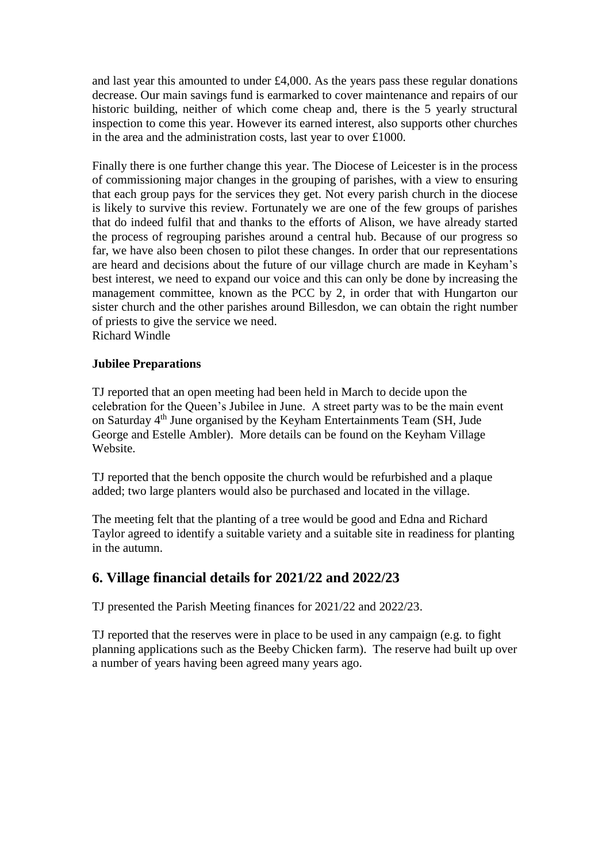and last year this amounted to under £4,000. As the years pass these regular donations decrease. Our main savings fund is earmarked to cover maintenance and repairs of our historic building, neither of which come cheap and, there is the 5 yearly structural inspection to come this year. However its earned interest, also supports other churches in the area and the administration costs, last year to over £1000.

Finally there is one further change this year. The Diocese of Leicester is in the process of commissioning major changes in the grouping of parishes, with a view to ensuring that each group pays for the services they get. Not every parish church in the diocese is likely to survive this review. Fortunately we are one of the few groups of parishes that do indeed fulfil that and thanks to the efforts of Alison, we have already started the process of regrouping parishes around a central hub. Because of our progress so far, we have also been chosen to pilot these changes. In order that our representations are heard and decisions about the future of our village church are made in Keyham's best interest, we need to expand our voice and this can only be done by increasing the management committee, known as the PCC by 2, in order that with Hungarton our sister church and the other parishes around Billesdon, we can obtain the right number of priests to give the service we need.

Richard Windle

#### **Jubilee Preparations**

TJ reported that an open meeting had been held in March to decide upon the celebration for the Queen's Jubilee in June. A street party was to be the main event on Saturday 4<sup>th</sup> June organised by the Keyham Entertainments Team (SH, Jude George and Estelle Ambler). More details can be found on the Keyham Village Website.

TJ reported that the bench opposite the church would be refurbished and a plaque added; two large planters would also be purchased and located in the village.

The meeting felt that the planting of a tree would be good and Edna and Richard Taylor agreed to identify a suitable variety and a suitable site in readiness for planting in the autumn.

### **6. Village financial details for 2021/22 and 2022/23**

TJ presented the Parish Meeting finances for 2021/22 and 2022/23.

TJ reported that the reserves were in place to be used in any campaign (e.g. to fight planning applications such as the Beeby Chicken farm). The reserve had built up over a number of years having been agreed many years ago.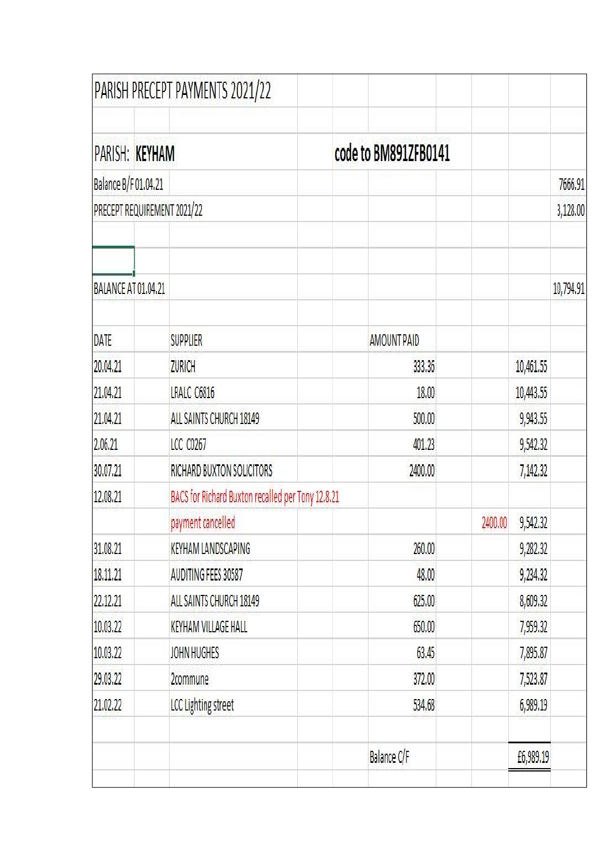|                             |  | PARISH PRECEPT PAYMENTS 2021/22                   |  |                      |         |           |           |
|-----------------------------|--|---------------------------------------------------|--|----------------------|---------|-----------|-----------|
|                             |  | PARISH: KEYHAM                                    |  | code to BM891ZFB0141 |         |           |           |
| Balance B/F 01.04.21        |  |                                                   |  |                      |         | 7666.91   |           |
| PRECEPT REQUIREMENT 2021/22 |  |                                                   |  |                      |         | 3,128.00  |           |
|                             |  |                                                   |  |                      |         |           |           |
| BALANCE AT 01.04.21         |  |                                                   |  |                      |         |           | 10,794.91 |
| DATE                        |  | <b>SUPPLIER</b>                                   |  | <b>AMOUNT PAID</b>   |         |           |           |
| 20.04.21                    |  | ZURICH                                            |  | 333.36               |         | 10,461.55 |           |
| 21.04.21                    |  | LRALC C6816                                       |  | 18.00                |         | 10,443.55 |           |
| 21.04.21                    |  | ALL SAINTS CHURCH 18149                           |  | 500.00               |         | 9,943.55  |           |
| 2.06.21                     |  | <b>LCC C0267</b>                                  |  | 401.23               |         | 9,542.32  |           |
| 30.07.21                    |  | RICHARD BUXTON SOLICITORS                         |  | 2400.00              |         | 7,142.32  |           |
| 12.08.21                    |  | BACS for Richard Buxton recalled per Tony 12.8.21 |  |                      |         |           |           |
|                             |  | payment cancelled                                 |  |                      | 2400.00 | 9,542.32  |           |
| 31.08.21                    |  | KEYHAM LANDSCAPING                                |  | 260.00               |         | 9,282.32  |           |
| 18.11.21                    |  | AUDITING FEES 30587                               |  | 48.00                |         | 9,234.32  |           |
| 22.12.21                    |  | ALL SAINTS CHURCH 18149                           |  | 625.00               |         | 8,609.32  |           |
| 10.03.22                    |  | KEYHAM VILLAGE HALL                               |  | 650.00               |         | 7,959.32  |           |
| 10.03.22                    |  | JOHN HUGHES                                       |  | 63.45                |         | 7,895.87  |           |
| 29.03.22                    |  | 2commune                                          |  | 372.00               |         | 7,523.87  |           |
| 21.02.22                    |  | LCC Lighting street                               |  | 534.68               |         | 6,989.19  |           |
|                             |  |                                                   |  | Balance C/F          |         | £6,989.19 |           |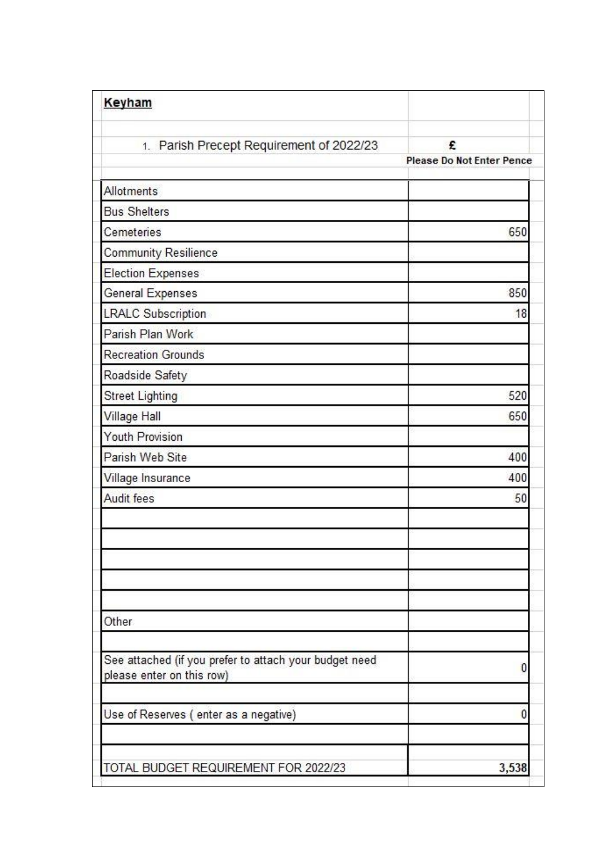| Keyham                                                                              |                                       |
|-------------------------------------------------------------------------------------|---------------------------------------|
| 1. Parish Precept Requirement of 2022/23                                            | £<br><b>Please Do Not Enter Pence</b> |
| Allotments                                                                          |                                       |
| <b>Bus Shelters</b>                                                                 |                                       |
| Cemeteries                                                                          | 650                                   |
| Community Resilience                                                                |                                       |
| Election Expenses                                                                   |                                       |
| General Expenses                                                                    | 850                                   |
| <b>LRALC Subscription</b>                                                           | 18                                    |
| Parish Plan Work                                                                    |                                       |
| <b>Recreation Grounds</b>                                                           |                                       |
| Roadside Safety                                                                     |                                       |
| <b>Street Lighting</b>                                                              | 520                                   |
| Village Hall                                                                        | 650                                   |
| <b>Youth Provision</b>                                                              |                                       |
| Parish Web Site                                                                     | 400                                   |
| Village Insurance                                                                   | 400                                   |
| <b>Audit fees</b>                                                                   | 50                                    |
|                                                                                     |                                       |
| Other                                                                               |                                       |
| See attached (if you prefer to attach your budget need<br>please enter on this row) |                                       |
| Use of Reserves (enter as a negative)                                               |                                       |
| TOTAL BUDGET REQUIREMENT FOR 2022/23                                                | 3,538                                 |